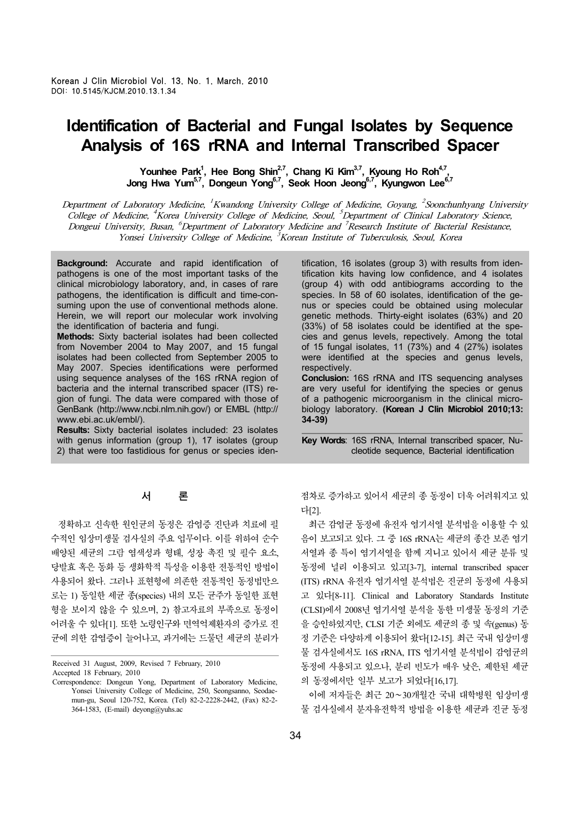# **Identification of Bacterial and Fungal Isolates by Sequence Analysis of 16S rRNA and Internal Transcribed Spacer**

Younhee Park<sup>1</sup>, Hee Bong Shin<sup>2,7</sup>, Chang Ki Kim<sup>3,7</sup>, Kyoung Ho Roh<sup>4,7</sup>, Jong Hwa Yum<sup>5,7</sup>, Dongeun Yong<sup>6,7</sup>, Seok Hoon Jeong<sup>6,7</sup>, Kyungwon Lee<sup>6,7</sup>

Department of Laboratory Medicine, <sup>1</sup>Kwandong University College of Medicine, Goyang, <sup>2</sup>Soonchunhyang University College of Medicine, <sup>4</sup>Korea University College of Medicine, Seoul, <sup>5</sup>Department of Clinical Laboratory Science, Dongeui University, Busan, <sup>6</sup>Department of Laboratory Medicine and <sup>7</sup>Research Institute of Bacterial Resistance, Yonsei University College of Medicine,  ${}^{3}$ Korean Institute of Tuberculosis, Seoul, Korea

**Background:** Accurate and rapid identification of pathogens is one of the most important tasks of the clinical microbiology laboratory, and, in cases of rare pathogens, the identification is difficult and time-consuming upon the use of conventional methods alone. Herein, we will report our molecular work involving the identification of bacteria and fungi.

**Methods:** Sixty bacterial isolates had been collected from November 2004 to May 2007, and 15 fungal isolates had been collected from September 2005 to May 2007. Species identifications were performed using sequence analyses of the 16S rRNA region of bacteria and the internal transcribed spacer (ITS) region of fungi. The data were compared with those of GenBank (http://www.ncbi.nlm.nih.gov/) or EMBL (http:// www.ebi.ac.uk/embl/).

**Results:** Sixty bacterial isolates included: 23 isolates with genus information (group 1), 17 isolates (group 2) that were too fastidious for genus or species iden-

# 서 론

 정확하고 신속한 원인균의 동정은 감염증 진단과 치료에 필 수적인 임상미생물 검사실의 주요 업무이다. 이를 위하여 순수 배양된 세균의 그람 염색성과 형태, 성장 촉진 및 필수 요소, 당발효 혹은 동화 등 생화학적 특성을 이용한 전통적인 방법이 사용되어 왔다. 그러나 표현형에 의존한 전통적인 동정법만으 로는 1) 동일한 세균 종(species) 내의 모든 균주가 동일한 표현 형을 보이지 않을 수 있으며, 2) 참고자료의 부족으로 동정이 어려울 수 있다[1]. 또한 노령인구와 면역억제환자의 증가로 진 균에 의한 감염증이 늘어나고, 과거에는 드물던 세균의 분리가

Received 31 August, 2009, Revised 7 February, 2010 Accepted 18 February, 2010

Correspondence: Dongeun Yong, Department of Laboratory Medicine, Yonsei University College of Medicine, 250, Seongsanno, Seodaemun-gu, Seoul 120-752, Korea. (Tel) 82-2-2228-2442, (Fax) 82-2- 364-1583, (E-mail) deyong@yuhs.ac

tification, 16 isolates (group 3) with results from identification kits having low confidence, and 4 isolates (group 4) with odd antibiograms according to the species. In 58 of 60 isolates, identification of the genus or species could be obtained using molecular genetic methods. Thirty-eight isolates (63%) and 20 (33%) of 58 isolates could be identified at the species and genus levels, repectively. Among the total of 15 fungal isolates, 11 (73%) and 4 (27%) isolates were identified at the species and genus levels, respectively. **Conclusion:** 16S rRNA and ITS sequencing analyses

are very useful for identifying the species or genus of a pathogenic microorganism in the clinical microbiology laboratory. **(Korean J Clin Microbiol 2010;13: 34-39)**

**Key Words**: 16S rRNA, Internal transcribed spacer, Nucleotide sequence, Bacterial identification

점차로 증가하고 있어서 세균의 종 동정이 더욱 어려워지고 있 다[2].

 최근 감염균 동정에 유전자 염기서열 분석법을 이용할 수 있 음이 보고되고 있다. 그 중 16S rRNA는 세균의 종간 보존 염기 서열과 종 특이 염기서열을 함께 지니고 있어서 세균 분류 및 동정에 널리 이용되고 있고[3-7], internal transcribed spacer (ITS) rRNA 유전자 염기서열 분석법은 진균의 동정에 사용되 고 있다[8-11]. Clinical and Laboratory Standards Institute (CLSI)에서 2008년 염기서열 분석을 통한 미생물 동정의 기준 을 승인하였지만, CLSI 기준 외에도 세균의 종 및 속(genus) 동 정 기준은 다양하게 이용되어 왔다[12-15]. 최근 국내 임상미생 물 검사실에서도 16S rRNA, ITS 염기서열 분석법이 감염균의 동정에 사용되고 있으나, 분리 빈도가 매우 낮은, 제한된 세균 의 동정에서만 일부 보고가 되었다[16,17].

 이에 저자들은 최근 20∼30개월간 국내 대학병원 임상미생 물 검사실에서 분자유전학적 방법을 이용한 세균과 진균 동정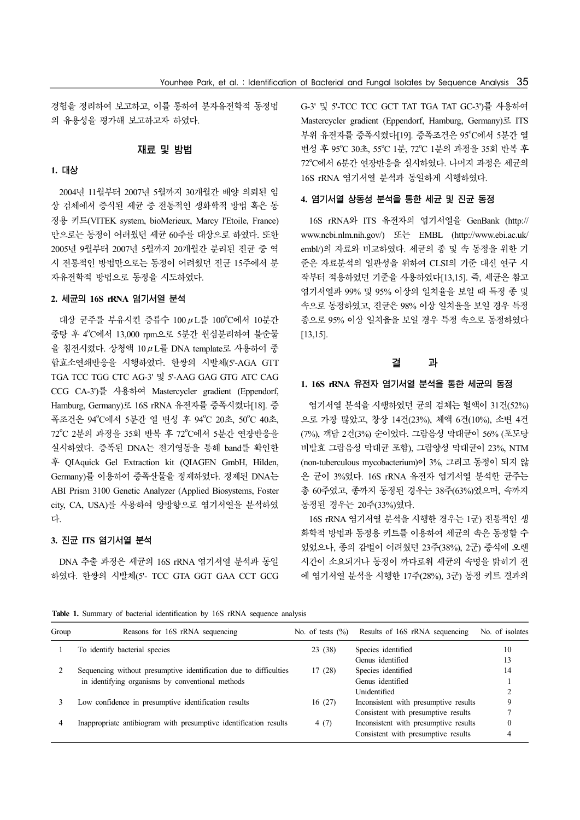경험을 정리하여 보고하고, 이를 통하여 분자유전학적 동정법 의 유용성을 평가해 보고하고자 하였다.

#### 재료 및 방법

# **1.** 대상

 2004년 11월부터 2007년 5월까지 30개월간 배양 의뢰된 임 상 검체에서 증식된 세균 중 전통적인 생화학적 방법 혹은 동 정용 키트(VITEK system, bioMerieux, Marcy l'Etoile, France) 만으로는 동정이 어려웠던 세균 60주를 대상으로 하였다. 또한 2005년 9월부터 2007년 5월까지 20개월간 분리된 진균 중 역 시 전통적인 방법만으로는 동정이 어려웠던 진균 15주에서 분 자유전학적 방법으로 동정을 시도하였다.

#### **2.** 세균의 **16S rRNA** 염기서열 분석

대상 균주를 부유시킨 증류수 100 $\mu$ L를 100°C에서 10분간 중탕 후 4°C에서 13,000 rpm으로 5분간 원심분리하여 불순물 을 침전시켰다. 상청액 10μL를 DNA template로 사용하여 중 합효소연쇄반응을 시행하였다. 한쌍의 시발체(5'-AGA GTT TGA TCC TGG CTC AG-3' 및 5'-AAG GAG GTG ATC CAG CCG CA-3')를 사용하여 Mastercycler gradient (Eppendorf, Hamburg, Germany)로 16S rRNA 유전자를 증폭시켰다[18]. 증 폭조건은 94℃에서 5분간 열 변성 후 94℃ 20초, 50℃ 40초, 72℃ 2분의 과정을 35회 반복 후 72℃에서 5분간 연장반응을 실시하였다. 증폭된 DNA는 전기영동을 통해 band를 확인한 후 QIAquick Gel Extraction kit (QIAGEN GmbH, Hilden, Germany)를 이용하여 증폭산물을 정제하였다. 정제된 DNA는 ABI Prism 3100 Genetic Analyzer (Applied Biosystems, Foster city, CA, USA)를 사용하여 양방향으로 염기서열을 분석하였 다.

### **3.** 진균 **ITS** 염기서열 분석

 DNA 추출 과정은 세균의 16S rRNA 염기서열 분석과 동일 하였다. 한쌍의 시발체(5'- TCC GTA GGT GAA CCT GCG G-3' 및 5'-TCC TCC GCT TAT TGA TAT GC-3')를 사용하여 Mastercycler gradient (Eppendorf, Hamburg, Germany)로 ITS 부위 유전자를 증폭시켰다[19]. 증폭조건은 95°C에서 5분간 열 변성 후 95°C 30초, 55°C 1분, 72°C 1분의 과정을 35회 반복 후 72°C에서 6분간 연장반응을 실시하였다. 나머지 과정은 세균의 16S rRNA 염기서열 분석과 동일하게 시행하였다.

#### **4.** 염기서열 상동성 분석을 통한 세균 및 진균 동정

 16S rRNA와 ITS 유전자의 염기서열을 GenBank (http:// www.ncbi.nlm.nih.gov/) 또는 EMBL (http://www.ebi.ac.uk/ embl/)의 자료와 비교하였다. 세균의 종 및 속 동정을 위한 기 준은 자료분석의 일관성을 위하여 CLSI의 기준 대신 연구 시 작부터 적용하였던 기준을 사용하였다[13,15]. 즉, 세균은 참고 염기서열과 99% 및 95% 이상의 일치율을 보일 때 특정 종 및 속으로 동정하였고, 진균은 98% 이상 일치율을 보일 경우 특정 종으로 95% 이상 일치율을 보일 경우 특정 속으로 동정하였다 [13,15].

#### 결 과

### **1. 16S rRNA** 유전자 염기서열 분석을 통한 세균의 동정

 염기서열 분석을 시행하였던 균의 검체는 혈액이 31건(52%) 으로 가장 많았고, 창상 14건(23%), 체액 6건(10%), 소변 4건 (7%), 객담 2건(3%) 순이었다. 그람음성 막대균이 56% (포도당 비발효 그람음성 막대균 포함), 그람양성 막대균이 23%, NTM (non-tuberculous mycobacterium)이 3%, 그리고 동정이 되지 않 은 균이 3%였다. 16S rRNA 유전자 염기서열 분석한 균주는 총 60주였고, 종까지 동정된 경우는 38주(63%)였으며, 속까지 동정된 경우는 20주(33%)였다.

 16S rRNA 염기서열 분석을 시행한 경우는 1군) 전통적인 생 화학적 방법과 동정용 키트를 이용하여 세균의 속은 동정할 수 있었으나, 종의 감별이 어려웠던 23주(38%), 2군) 증식에 오랜 시간이 소요되거나 동정이 까다로워 세균의 속명을 밝히기 전 에 염기서열 분석을 시행한 17주(28%), 3군) 동정 키트 결과의

**Table 1.** Summary of bacterial identification by 16S rRNA sequence analysis

| Group | Reasons for 16S rRNA sequencing                                   | No. of tests $(\% )$ | Results of 16S rRNA sequencing        | No. of isolates |
|-------|-------------------------------------------------------------------|----------------------|---------------------------------------|-----------------|
|       | To identify bacterial species                                     | 23(38)               | Species identified                    | 10              |
|       |                                                                   |                      | Genus identified                      | 13              |
|       | Sequencing without presumptive identification due to difficulties | 17(28)               | Species identified                    | 14              |
|       | in identifying organisms by conventional methods                  |                      | Genus identified                      |                 |
|       |                                                                   |                      | Unidentified                          |                 |
|       | Low confidence in presumptive identification results              | 16(27)               | Inconsistent with presumptive results | 9               |
|       |                                                                   |                      | Consistent with presumptive results   |                 |
|       | Inappropriate antibiogram with presumptive identification results | 4(7)                 | Inconsistent with presumptive results |                 |
|       |                                                                   |                      | Consistent with presumptive results   |                 |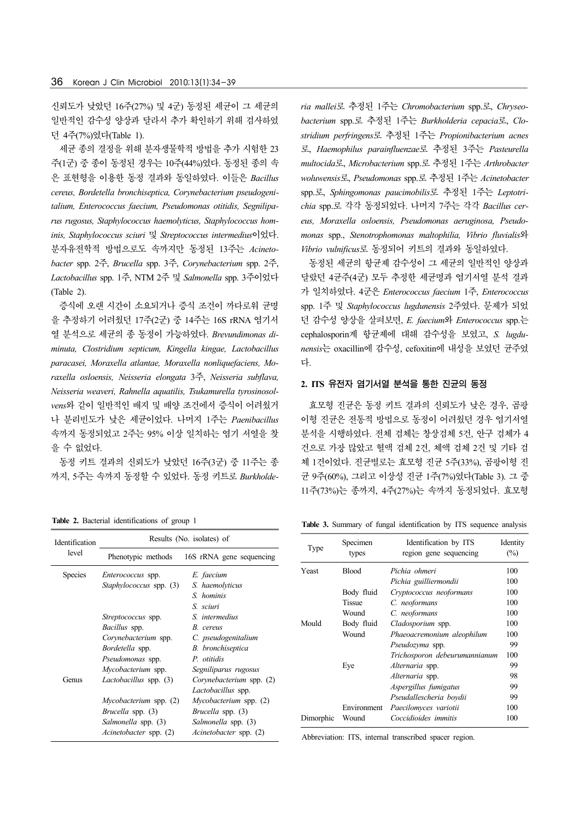신뢰도가 낮았던 16주(27%) 및 4군) 동정된 세균이 그 세균의 일반적인 감수성 양상과 달라서 추가 확인하기 위해 검사하였 던 4주(7%)였다(Table 1).

 세균 종의 결정을 위해 분자생물학적 방법을 추가 시험한 23 주(1군) 중 종이 동정된 경우는 10주(44%)였다. 동정된 종의 속 은 표현형을 이용한 동정 결과와 동일하였다. 이들은 *Bacillus cereus, Bordetella bronchiseptica, Corynebacterium pseudogenitalium, Enterococcus faecium, Pseudomonas otitidis, Segniliparus rugosus, Staphylococcus haemolyticus, Staphylococcus hominis, Staphylococcus sciuri* 및 *Streptococcus intermedius*이었다. 분자유전학적 방법으로도 속까지만 동정된 13주는 *Acinetobacter* spp. 2주, *Brucella* spp. 3주, *Corynebacterium* spp. 2주, *Lactobacillus* spp. 1주, NTM 2주 및 *Salmonella* spp. 3주이었다 (Table 2).

 증식에 오랜 시간이 소요되거나 증식 조건이 까다로워 균명 을 추정하기 어려웠던 17주(2군) 중 14주는 16S rRNA 염기서 열 분석으로 세균의 종 동정이 가능하였다. *Brevundimonas diminuta, Clostridium septicum, Kingella kingae, Lactobacillus paracasei, Moraxella atlantae, Moraxella nonliquefaciens, Moraxella osloensis, Neisseria elongata* 3주, *Neisseria subflava, Neisseria weaveri, Rahnella aquatilis, Tsukamurella tyrosinosolvens*와 같이 일반적인 배지 및 배양 조건에서 증식이 어려웠거 나 분리빈도가 낮은 세균이었다. 나머지 1주는 *Paenibacillus* 속까지 동정되었고 2주는 95% 이상 일치하는 염기 서열을 찾 을 수 없었다.

 동정 키트 결과의 신뢰도가 낮았던 16주(3군) 중 11주는 종 까지, 5주는 속까지 동정할 수 있었다. 동정 키트로 *Burkholde-*

**Table 2.** Bacterial identifications of group 1

| Identification | Results (No. isolates) of     |                               |  |  |
|----------------|-------------------------------|-------------------------------|--|--|
| level          | Phenotypic methods            | 16S rRNA gene sequencing      |  |  |
| <b>Species</b> | <i>Enterococcus</i> spp.      | E. faecium                    |  |  |
|                | Staphylococcus spp. (3)       | S. haemolyticus               |  |  |
|                |                               | S. hominis                    |  |  |
|                |                               | S. sciuri                     |  |  |
|                | <i>Streptococcus</i> spp.     | S. intermedius                |  |  |
|                | Bacillus spp.                 | B. cereus                     |  |  |
|                | Corynebacterium spp.          | C. pseudogenitalium           |  |  |
|                | Bordetella spp.               | B. bronchiseptica             |  |  |
|                | Pseudomonas spp.              | P. otitidis                   |  |  |
|                | Mycobacterium spp.            | Segniliparus rugosus          |  |  |
| Genus          | Lactobacillus spp. (3)        | Corynebacterium spp. (2)      |  |  |
|                |                               | <i>Lactobacillus</i> spp.     |  |  |
|                | <i>Mycobacterium</i> spp. (2) | <i>Mycobacterium</i> spp. (2) |  |  |
|                | <i>Brucella</i> spp. (3)      | Brucella spp. (3)             |  |  |
|                | Salmonella spp. (3)           | Salmonella spp. (3)           |  |  |
|                | <i>Acinetobacter</i> spp. (2) | <i>Acinetobacter</i> spp. (2) |  |  |

*ria mallei*로 추정된 1주는 *Chromobacterium* spp.로, *Chryseobacterium* spp.로 추정된 1주는 *Burkholderia cepacia*로, *Clostridium perfringens*로 추정된 1주는 *Propionibacterium acnes* 로, *Haemophilus parainfluenzae*로 추정된 3주는 *Pasteurella multocida*로, *Microbacterium* spp.로 추정된 1주는 *Arthrobacter woluwensis*로, *Pseudomonas* spp.로 추정된 1주는 *Acinetobacter* spp.로, *Sphingomonas paucimobilis*로 추정된 1주는 *Leptotrichia* spp.로 각각 동정되었다. 나머지 7주는 각각 *Bacillus cereus, Moraxella osloensis, Pseudomonas aeruginosa, Pseudomonas* spp., *Stenotrophomonas maltophilia, Vibrio fluvialis*와 *Vibrio vulnificus*로 동정되어 키트의 결과와 동일하였다.

 동정된 세균의 항균제 감수성이 그 세균의 일반적인 양상과 달랐던 4균주(4군) 모두 추정한 세균명과 염기서열 분석 결과 가 일치하였다. 4군은 *Enterococcus faecium* 1주, *Enterococcus* spp. 1주 및 *Staphylococcus lugdunensis* 2주였다. 문제가 되었 던 감수성 양상을 살펴보면, *E. faecium*와 *Enterococcus* spp.는 cephalosporin계 항균제에 대해 감수성을 보였고, *S. lugdunensis*는 oxacillin에 감수성, cefoxitin에 내성을 보였던 균주였 다.

### **2. ITS** 유전자 염기서열 분석을 통한 진균의 동정

 효모형 진균은 동정 키트 결과의 신뢰도가 낮은 경우, 곰팡 이형 진균은 전통적 방법으로 동정이 어려웠던 경우 염기서열 분석을 시행하였다. 전체 검체는 창상검체 5건, 안구 검체가 4 건으로 가장 많았고 혈액 검체 2건, 체액 검체 2건 및 기타 검 체 1건이었다. 진균별로는 효모형 진균 5주(33%), 곰팡이형 진 균 9주(60%), 그리고 이상성 진균 1주(7%)였다(Table 3). 그 중 11주(73%)는 종까지, 4주(27%)는 속까지 동정되었다. 효모형

**Table 3.** Summary of fungal identification by ITS sequence analysis

| Type      | Specimen<br>types | Identification by ITS<br>region gene sequencing | Identity<br>$(\%)$ |
|-----------|-------------------|-------------------------------------------------|--------------------|
| Yeast     | <b>Blood</b>      | Pichia ohmeri                                   |                    |
|           |                   | Pichia guilliermondii                           | 100                |
|           | Body fluid        | Cryptococcus neoformans                         | 100                |
|           | <b>Tissue</b>     | C. neoformans                                   | 100                |
|           | Wound             | C. neoformans                                   | 100                |
| Mould     | Body fluid        | Cladosporium spp.                               | 100                |
|           | Wound             | Phaeoacremonium aleophilum                      | 100                |
|           |                   | <i>Pseudozyma</i> spp.                          | 99                 |
|           |                   | Trichosporon debeurumannianum                   | 100                |
|           | Eye               | Alternaria spp.                                 | 99                 |
|           |                   | Alternaria spp.                                 | 98                 |
|           |                   | Aspergillus fumigatus                           | 99                 |
|           |                   | Pseudallescheria boydii                         | 99                 |
|           | Environment       | Paecilomyces variotii                           | 100                |
| Dimorphic | Wound             | Coccidioides immitis                            | 100                |

Abbreviation: ITS, internal transcribed spacer region.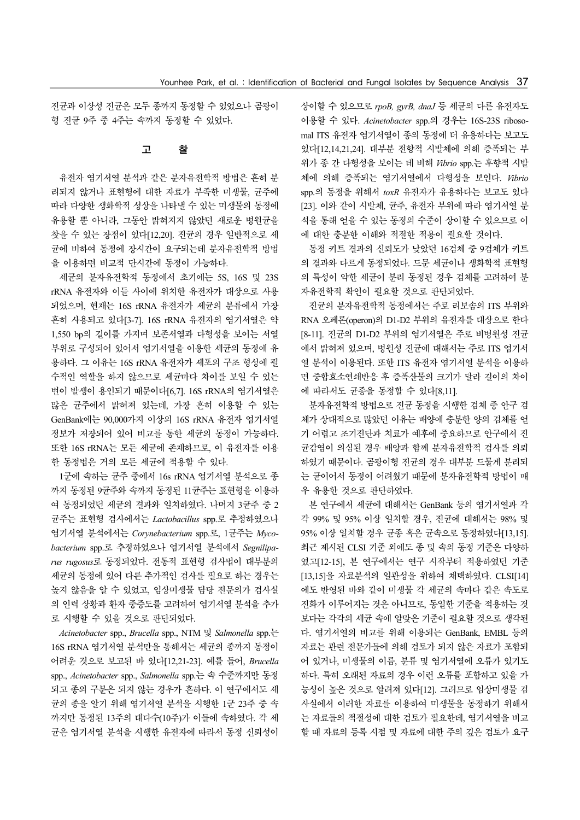진균과 이상성 진균은 모두 종까지 동정할 수 있었으나 곰팡이 형 진균 9주 중 4주는 속까지 동정할 수 있었다.

#### 고 찰

 유전자 염기서열 분석과 같은 분자유전학적 방법은 흔히 분 리되지 않거나 표현형에 대한 자료가 부족한 미생물, 균주에 따라 다양한 생화학적 성상을 나타낼 수 있는 미생물의 동정에 유용할 뿐 아니라, 그동안 밝혀지지 않았던 새로운 병원균을 찾을 수 있는 장점이 있다[12,20]. 진균의 경우 일반적으로 세 균에 비하여 동정에 장시간이 요구되는데 분자유전학적 방법 을 이용하면 비교적 단시간에 동정이 가능하다.

 세균의 분자유전학적 동정에서 초기에는 5S, 16S 및 23S rRNA 유전자와 이들 사이에 위치한 유전자가 대상으로 사용 되었으며, 현재는 16S rRNA 유전자가 세균의 분류에서 가장 흔히 사용되고 있다[3-7]. 16S rRNA 유전자의 염기서열은 약 1,550 bp의 길이를 가지며 보존서열과 다형성을 보이는 서열 부위로 구성되어 있어서 염기서열을 이용한 세균의 동정에 유 용하다. 그 이유는 16S rRNA 유전자가 세포의 구조 형성에 필 수적인 역할을 하지 않으므로 세균마다 차이를 보일 수 있는 변이 발생이 용인되기 때문이다[6,7]. 16S rRNA의 염기서열은 많은 균주에서 밝혀져 있는데, 가장 흔히 이용할 수 있는 GenBank에는 90,000가지 이상의 16S rRNA 유전자 염기서열 정보가 저장되어 있어 비교를 통한 세균의 동정이 가능하다. 또한 16S rRNA는 모든 세균에 존재하므로, 이 유전자를 이용 한 동정법은 거의 모든 세균에 적용할 수 있다.

 1군에 속하는 균주 중에서 16s rRNA 염기서열 분석으로 종 까지 동정된 9균주와 속까지 동정된 11균주는 표현형을 이용하 여 동정되었던 세균의 결과와 일치하였다. 나머지 3균주 중 2 균주는 표현형 검사에서는 *Lactobacillus* spp.로 추정하였으나 염기서열 분석에서는 *Corynebacterium* spp.로, 1균주는 *Mycobacterium* spp.로 추정하였으나 염기서열 분석에서 *Segniliparus rugosus*로 동정되었다. 전통적 표현형 검사법이 대부분의 세균의 동정에 있어 다른 추가적인 검사를 필요로 하는 경우는 높지 않음을 알 수 있었고, 임상미생물 담당 전문의가 검사실 의 인력 상황과 환자 중증도를 고려하여 염기서열 분석을 추가 로 시행할 수 있을 것으로 판단되었다.

 *Acinetobacter* spp., *Brucella* spp., NTM 및 *Salmonella* spp.는 16S rRNA 염기서열 분석만을 통해서는 세균의 종까지 동정이 어려운 것으로 보고된 바 있다[12,21-23]. 예를 들어, *Brucella* spp., *Acinetobacter* spp., *Salmonella* spp.는 속 수준까지만 동정 되고 종의 구분은 되지 않는 경우가 흔하다. 이 연구에서도 세 균의 종을 알기 위해 염기서열 분석을 시행한 1군 23주 중 속 까지만 동정된 13주의 대다수(10주)가 이들에 속하였다. 각 세 균은 염기서열 분석을 시행한 유전자에 따라서 동정 신뢰성이 상이할 수 있으므로 *rpoB, gyrB, dnaJ* 등 세균의 다른 유전자도 이용할 수 있다. *Acinetobacter* spp.의 경우는 16S-23S ribosomal ITS 유전자 염기서열이 종의 동정에 더 유용하다는 보고도 있다[12,14,21,24]. 대부분 전향적 시발체에 의해 증폭되는 부 위가 종 간 다형성을 보이는 데 비해 *Vibrio* spp.는 후향적 시발 체에 의해 증폭되는 염기서열에서 다형성을 보인다. *Vibrio* spp.의 동정을 위해서 *toxR* 유전자가 유용하다는 보고도 있다 [23]. 이와 같이 시발체, 균주, 유전자 부위에 따라 염기서열 분 석을 통해 얻을 수 있는 동정의 수준이 상이할 수 있으므로 이 에 대한 충분한 이해와 적절한 적용이 필요할 것이다.

 동정 키트 결과의 신뢰도가 낮았던 16검체 중 9검체가 키트 의 결과와 다르게 동정되었다. 드문 세균이나 생화학적 표현형 의 특성이 약한 세균이 분리 동정된 경우 검체를 고려하여 분 자유전학적 확인이 필요할 것으로 판단되었다.

 진균의 분자유전학적 동정에서는 주로 리보솜의 ITS 부위와 RNA 오페론(operon)의 D1-D2 부위의 유전자를 대상으로 한다 [8-11]. 진균의 D1-D2 부위의 염기서열은 주로 비병원성 진균 에서 밝혀져 있으며, 병원성 진균에 대해서는 주로 ITS 염기서 열 분석이 이용된다. 또한 ITS 유전자 염기서열 분석을 이용하 면 중합효소연쇄반응 후 증폭산물의 크기가 달라 길이의 차이 에 따라서도 균종을 동정할 수 있다[8,11].

 분자유전학적 방법으로 진균 동정을 시행한 검체 중 안구 검 체가 상대적으로 많았던 이유는 배양에 충분한 양의 검체를 얻 기 어렵고 조기진단과 치료가 예후에 중요하므로 안구에서 진 균감염이 의심된 경우 배양과 함께 분자유전학적 검사를 의뢰 하였기 때문이다. 곰팡이형 진균의 경우 대부분 드물게 분리되 는 균이어서 동정이 어려웠기 때문에 분자유전학적 방법이 매 우 유용한 것으로 판단하였다.

 본 연구에서 세균에 대해서는 GenBank 등의 염기서열과 각 각 99% 및 95% 이상 일치할 경우, 진균에 대해서는 98% 및 95% 이상 일치할 경우 균종 혹은 균속으로 동정하였다[13,15]. 최근 제시된 CLSI 기준 외에도 종 및 속의 동정 기준은 다양하 였고[12-15], 본 연구에서는 연구 시작부터 적용하였던 기준 [13,15]을 자료분석의 일관성을 위하여 채택하였다. CLSI[14] 에도 반영된 바와 같이 미생물 각 세균의 속마다 같은 속도로 진화가 이루어지는 것은 아니므로, 동일한 기준을 적용하는 것 보다는 각각의 세균 속에 알맞은 기준이 필요할 것으로 생각된 다. 염기서열의 비교를 위해 이용되는 GenBank, EMBL 등의 자료는 관련 전문가들에 의해 검토가 되지 않은 자료가 포함되 어 있거나, 미생물의 이름, 분류 및 염기서열에 오류가 있기도 하다. 특히 오래된 자료의 경우 이런 오류를 포함하고 있을 가 능성이 높은 것으로 알려져 있다[12]. 그러므로 임상미생물 검 사실에서 이러한 자료를 이용하여 미생물을 동정하기 위해서 는 자료들의 적절성에 대한 검토가 필요한데, 염기서열을 비교 할 때 자료의 등록 시점 및 자료에 대한 주의 깊은 검토가 요구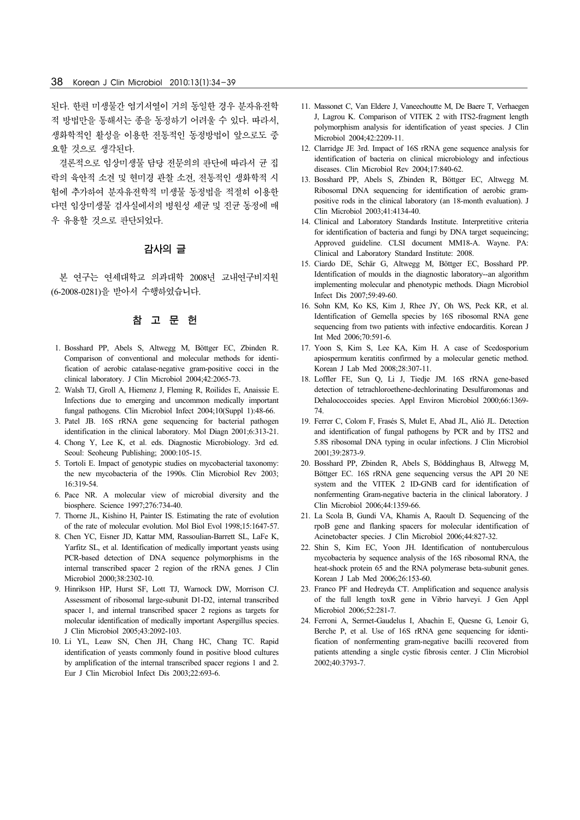된다. 한편 미생물간 염기서열이 거의 동일한 경우 분자유전학 적 방법만을 통해서는 종을 동정하기 어려울 수 있다. 따라서, 생화학적인 활성을 이용한 전통적인 동정방법이 앞으로도 중 요할 것으로 생각된다.

 결론적으로 임상미생물 담당 전문의의 판단에 따라서 균 집 락의 육안적 소견 및 현미경 관찰 소견, 전통적인 생화학적 시 험에 추가하여 분자유전학적 미생물 동정법을 적절히 이용한 다면 임상미생물 검사실에서의 병원성 세균 및 진균 동정에 매 우 유용할 것으로 판단되었다.

# 감사의 글

 본 연구는 연세대학교 의과대학 2008년 교내연구비지원 (6-2008-0281)을 받아서 수행하였습니다.

#### 참 고 문 헌

- 1. Bosshard PP, Abels S, Altwegg M, Böttger EC, Zbinden R. Comparison of conventional and molecular methods for identification of aerobic catalase-negative gram-positive cocci in the clinical laboratory. J Clin Microbiol 2004;42:2065-73.
- 2. Walsh TJ, Groll A, Hiemenz J, Fleming R, Roilides E, Anaissie E. Infections due to emerging and uncommon medically important fungal pathogens. Clin Microbiol Infect 2004;10(Suppl 1):48-66.
- 3. Patel JB. 16S rRNA gene sequencing for bacterial pathogen identification in the clinical laboratory. Mol Diagn 2001;6:313-21.
- 4. Chong Y, Lee K, et al. eds. Diagnostic Microbiology. 3rd ed. Seoul: Seoheung Publishing; 2000:105-15.
- 5. Tortoli E. Impact of genotypic studies on mycobacterial taxonomy: the new mycobacteria of the 1990s. Clin Microbiol Rev 2003; 16:319-54.
- 6. Pace NR. A molecular view of microbial diversity and the biosphere. Science 1997;276:734-40.
- 7. Thorne JL, Kishino H, Painter IS. Estimating the rate of evolution of the rate of molecular evolution. Mol Biol Evol 1998;15:1647-57.
- 8. Chen YC, Eisner JD, Kattar MM, Rassoulian-Barrett SL, LaFe K, Yarfitz SL, et al. Identification of medically important yeasts using PCR-based detection of DNA sequence polymorphisms in the internal transcribed spacer 2 region of the rRNA genes. J Clin Microbiol 2000;38:2302-10.
- 9. Hinrikson HP, Hurst SF, Lott TJ, Warnock DW, Morrison CJ. Assessment of ribosomal large-subunit D1-D2, internal transcribed spacer 1, and internal transcribed spacer 2 regions as targets for molecular identification of medically important Aspergillus species. J Clin Microbiol 2005;43:2092-103.
- 10. Li YL, Leaw SN, Chen JH, Chang HC, Chang TC. Rapid identification of yeasts commonly found in positive blood cultures by amplification of the internal transcribed spacer regions 1 and 2. Eur J Clin Microbiol Infect Dis 2003;22:693-6.
- 11. Massonet C, Van Eldere J, Vaneechoutte M, De Baere T, Verhaegen J, Lagrou K. Comparison of VITEK 2 with ITS2-fragment length polymorphism analysis for identification of yeast species. J Clin Microbiol 2004;42:2209-11.
- 12. Clarridge JE 3rd. Impact of 16S rRNA gene sequence analysis for identification of bacteria on clinical microbiology and infectious diseases. Clin Microbiol Rev 2004;17:840-62.
- 13. Bosshard PP, Abels S, Zbinden R, Böttger EC, Altwegg M. Ribosomal DNA sequencing for identification of aerobic grampositive rods in the clinical laboratory (an 18-month evaluation). J Clin Microbiol 2003;41:4134-40.
- 14. Clinical and Laboratory Standards Institute. Interpretitive criteria for identification of bacteria and fungi by DNA target sequeincing; Approved guideline. CLSI document MM18-A. Wayne. PA: Clinical and Laboratory Standard Institute: 2008.
- 15. Ciardo DE, Schär G, Altwegg M, Böttger EC, Bosshard PP. Identification of moulds in the diagnostic laboratory--an algorithm implementing molecular and phenotypic methods. Diagn Microbiol Infect Dis 2007;59:49-60.
- 16. Sohn KM, Ko KS, Kim J, Rhee JY, Oh WS, Peck KR, et al. Identification of Gemella species by 16S ribosomal RNA gene sequencing from two patients with infective endocarditis. Korean J Int Med 2006;70:591-6.
- 17. Yoon S, Kim S, Lee KA, Kim H. A case of Scedosporium apiospermum keratitis confirmed by a molecular genetic method. Korean J Lab Med 2008;28:307-11.
- 18. Loffler FE, Sun Q, Li J, Tiedje JM. 16S rRNA gene-based detection of tetrachloroethene-dechlorinating Desulfuromonas and Dehalococcoides species. Appl Environ Microbiol 2000;66:1369- 74.
- 19. Ferrer C, Colom F, Frasés S, Mulet E, Abad JL, Alió JL. Detection and identification of fungal pathogens by PCR and by ITS2 and 5.8S ribosomal DNA typing in ocular infections. J Clin Microbiol 2001;39:2873-9.
- 20. Bosshard PP, Zbinden R, Abels S, Böddinghaus B, Altwegg M, Böttger EC. 16S rRNA gene sequencing versus the API 20 NE system and the VITEK 2 ID-GNB card for identification of nonfermenting Gram-negative bacteria in the clinical laboratory. J Clin Microbiol 2006;44:1359-66.
- 21. La Scola B, Gundi VA, Khamis A, Raoult D. Sequencing of the rpoB gene and flanking spacers for molecular identification of Acinetobacter species. J Clin Microbiol 2006;44:827-32.
- 22. Shin S, Kim EC, Yoon JH. Identification of nontuberculous mycobacteria by sequence analysis of the 16S ribosomal RNA, the heat-shock protein 65 and the RNA polymerase beta-subunit genes. Korean J Lab Med 2006;26:153-60.
- 23. Franco PF and Hedreyda CT. Amplification and sequence analysis of the full length toxR gene in Vibrio harveyi. J Gen Appl Microbiol 2006;52:281-7.
- 24. Ferroni A, Sermet-Gaudelus I, Abachin E, Quesne G, Lenoir G, Berche P, et al. Use of 16S rRNA gene sequencing for identification of nonfermenting gram-negative bacilli recovered from patients attending a single cystic fibrosis center. J Clin Microbiol 2002;40:3793-7.